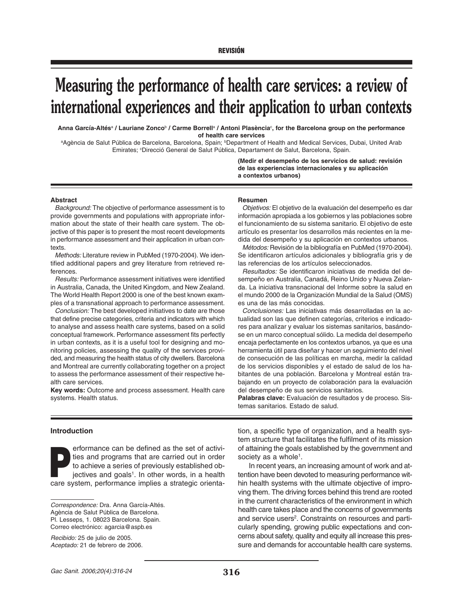# Measuring the performance of health care services: a review of international experiences and their application to urban contexts

Anna García-Altésª / Lauriane Zonco<sup>b</sup> / Carme Borrellª / Antoni Plasència<sup>c</sup>, for the Barcelona group on the performance **of health care services**

aAgència de Salut Pública de Barcelona, Barcelona, Spain; <sup>b</sup>Department of Health and Medical Services, Dubai, United Arab Emirates; <sup>c</sup>Direcció General de Salut Pública, Departament de Salut, Barcelona, Spain.

> **(Medir el desempeño de los servicios de salud: revisión de las experiencias internacionales y su aplicación a contextos urbanos)**

#### **Abstract**

Background: The objective of performance assessment is to provide governments and populations with appropriate information about the state of their health care system. The objective of this paper is to present the most recent developments in performance assessment and their application in urban contexts.

Methods: Literature review in PubMed (1970-2004). We identified additional papers and grey literature from retrieved references.

Results: Performance assessment initiatives were identified in Australia, Canada, the United Kingdom, and New Zealand. The World Health Report 2000 is one of the best known examples of a transnational approach to performance assessment.

Conclusion: The best developed initiatives to date are those that define precise categories, criteria and indicators with which to analyse and assess health care systems, based on a solid conceptual framework. Performance assessment fits perfectly in urban contexts, as it is a useful tool for designing and monitoring policies, assessing the quality of the services provided, and measuring the health status of city dwellers. Barcelona and Montreal are currently collaborating together on a project to assess the performance assessment of their respective health care services.

**Key words:** Outcome and process assessment. Health care systems. Health status.

#### **Resumen**

Objetivos: El objetivo de la evaluación del desempeño es dar información apropiada a los gobiernos y las poblaciones sobre el funcionamiento de su sistema sanitario. El objetivo de este artículo es presentar los desarrollos más recientes en la medida del desempeño y su aplicación en contextos urbanos.

Métodos: Revisión de la bibliografía en PubMed (1970-2004). Se identificaron artículos adicionales y bibliografía gris y de las referencias de los artículos seleccionados.

Resultados: Se identificaron iniciativas de medida del desempeño en Australia, Canadá, Reino Unido y Nueva Zelanda. La iniciativa transnacional del Informe sobre la salud en el mundo 2000 de la Organización Mundial de la Salud (OMS) es una de las más conocidas.

Conclusiones: Las iniciativas más desarrolladas en la actualidad son las que definen categorías, criterios e indicadores para analizar y evaluar los sistemas sanitarios, basándose en un marco conceptual sólido. La medida del desempeño encaja perfectamente en los contextos urbanos, ya que es una herramienta útil para diseñar y hacer un seguimiento del nivel de consecución de las políticas en marcha, medir la calidad de los servicios disponibles y el estado de salud de los habitantes de una población. Barcelona y Montreal están trabajando en un proyecto de colaboración para la evaluación del desempeño de sus servicios sanitarios.

**Palabras clave:** Evaluación de resultados y de proceso. Sistemas sanitarios. Estado de salud.

#### **Introduction**

Per tie erformance can be defined as the set of activities and programs that are carried out in order to achieve a series of previously established objectives and goals<sup>1</sup>. In other words, in a health care system, performance implies a strategic orientation, a specific type of organization, and a health system structure that facilitates the fulfilment of its mission of attaining the goals established by the government and society as a whole<sup>1</sup>.

In recent years, an increasing amount of work and attention have been devoted to measuring performance within health systems with the ultimate objective of improving them. The driving forces behind this trend are rooted in the current characteristics of the environment in which health care takes place and the concerns of governments and service users<sup>2</sup>. Constraints on resources and particularly spending, growing public expectations and concerns about safety, quality and equity all increase this pressure and demands for accountable health care systems.

Correspondence: Dra. Anna García-Altés. Agència de Salut Pública de Barcelona. Pl. Lesseps, 1. 08023 Barcelona. Spain. Correo electrónico: agarcia@aspb.es

Recibido: 25 de julio de 2005. Aceptado: 21 de febrero de 2006.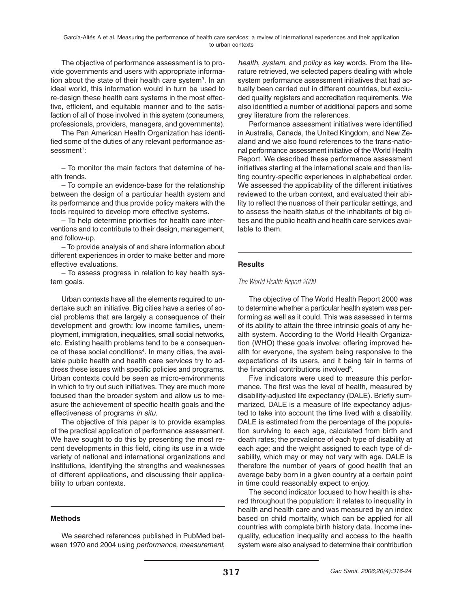The objective of performance assessment is to provide governments and users with appropriate information about the state of their health care system<sup>3</sup>. In an ideal world, this information would in turn be used to re-design these health care systems in the most effective, efficient, and equitable manner and to the satisfaction of all of those involved in this system (consumers, professionals, providers, managers, and governments).

The Pan American Health Organization has identified some of the duties of any relevant performance assessment<sup>1</sup>:

– To monitor the main factors that detemine of health trends.

– To compile an evidence-base for the relationship between the design of a particular health system and its performance and thus provide policy makers with the tools required to develop more effective systems.

– To help determine priorities for health care interventions and to contribute to their design, management, and follow-up.

– To provide analysis of and share information about different experiences in order to make better and more effective evaluations.

– To assess progress in relation to key health system goals.

Urban contexts have all the elements required to undertake such an initiative. Big cities have a series of social problems that are largely a consequence of their development and growth: low income families, unemployment, immigration, inequalities, small social networks, etc. Existing health problems tend to be a consequence of these social conditions<sup>4</sup>. In many cities, the available public health and health care services try to address these issues with specific policies and programs. Urban contexts could be seen as micro-environments in which to try out such initiatives. They are much more focused than the broader system and allow us to measure the achievement of specific health goals and the effectiveness of programs in situ.

The objective of this paper is to provide examples of the practical application of performance assessment. We have sought to do this by presenting the most recent developments in this field, citing its use in a wide variety of national and international organizations and institutions, identifying the strengths and weaknesses of different applications, and discussing their applicability to urban contexts.

## **Methods**

We searched references published in PubMed between 1970 and 2004 using performance, measurement,

health, system, and policy as key words. From the literature retrieved, we selected papers dealing with whole system performance assessment initiatives that had actually been carried out in different countries, but excluded quality registers and accreditation requirements. We also identified a number of additional papers and some grey literature from the references.

Performance assessment initiatives were identified in Australia, Canada, the United Kingdom, and New Zealand and we also found references to the trans-national performance assessment initiative of the World Health Report. We described these performance assessment initiatives starting at the international scale and then listing country-specific experiences in alphabetical order. We assessed the applicability of the different initiatives reviewed to the urban context, and evaluated their ability to reflect the nuances of their particular settings, and to assess the health status of the inhabitants of big cities and the public health and health care services available to them.

# **Results**

## The World Health Report 2000

The objective of The World Health Report 2000 was to determine whether a particular health system was performing as well as it could. This was assessed in terms of its ability to attain the three intrinsic goals of any health system. According to the World Health Organization (WHO) these goals involve: offering improved health for everyone, the system being responsive to the expectations of its users, and it being fair in terms of the financial contributions involved<sup>5</sup>.

Five indicators were used to measure this performance. The first was the level of health, measured by disability-adjusted life expectancy (DALE). Briefly summarized, DALE is a measure of life expectancy adjusted to take into account the time lived with a disability. DALE is estimated from the percentage of the population surviving to each age, calculated from birth and death rates; the prevalence of each type of disability at each age; and the weight assigned to each type of disability, which may or may not vary with age. DALE is therefore the number of years of good health that an average baby born in a given country at a certain point in time could reasonably expect to enjoy.

The second indicator focused to how health is shared throughout the population: it relates to inequality in health and health care and was measured by an index based on child mortality, which can be applied for all countries with complete birth history data. Income inequality, education inequality and access to the health system were also analysed to determine their contribution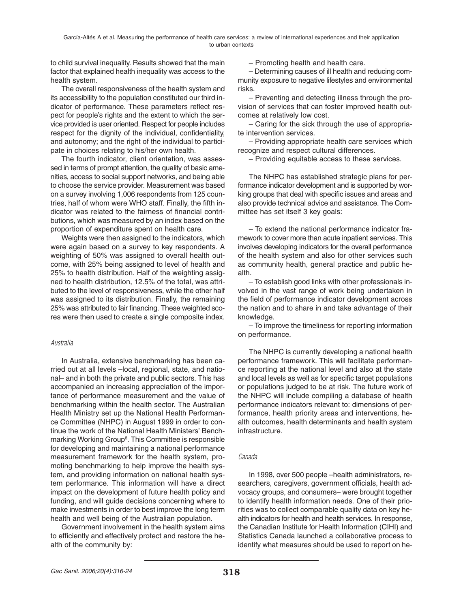to child survival inequality. Results showed that the main factor that explained health inequality was access to the health system.

The overall responsiveness of the health system and its accessibility to the population constituted our third indicator of performance. These parameters reflect respect for people's rights and the extent to which the service provided is user oriented. Respect for people includes respect for the dignity of the individual, confidentiality, and autonomy; and the right of the individual to participate in choices relating to his/her own health.

The fourth indicator, client orientation, was assessed in terms of prompt attention, the quality of basic amenities, access to social support networks, and being able to choose the service provider. Measurement was based on a survey involving 1,006 respondents from 125 countries, half of whom were WHO staff. Finally, the fifth indicator was related to the fairness of financial contributions, which was measured by an index based on the proportion of expenditure spent on health care.

Weights were then assigned to the indicators, which were again based on a survey to key respondents. A weighting of 50% was assigned to overall health outcome, with 25% being assigned to level of health and 25% to health distribution. Half of the weighting assigned to health distribution, 12.5% of the total, was attributed to the level of responsiveness, while the other half was assigned to its distribution. Finally, the remaining 25% was attributed to fair financing. These weighted scores were then used to create a single composite index.

## Australia

In Australia, extensive benchmarking has been carried out at all levels –local, regional, state, and national– and in both the private and public sectors. This has accompanied an increasing appreciation of the importance of performance measurement and the value of benchmarking within the health sector. The Australian Health Ministry set up the National Health Performance Committee (NHPC) in August 1999 in order to continue the work of the National Health Ministers' Benchmarking Working Group<sup>6</sup>. This Committee is responsible for developing and maintaining a national performance measurement framework for the health system, promoting benchmarking to help improve the health system, and providing information on national health system performance. This information will have a direct impact on the development of future health policy and funding, and will guide decisions concerning where to make investments in order to best improve the long term health and well being of the Australian population.

Government involvement in the health system aims to efficiently and effectively protect and restore the health of the community by:

– Promoting health and health care.

– Determining causes of ill health and reducing community exposure to negative lifestyles and environmental risks.

– Preventing and detecting illness through the provision of services that can foster improved health outcomes at relatively low cost.

– Caring for the sick through the use of appropriate intervention services.

– Providing appropriate health care services which recognize and respect cultural differences.

– Providing equitable access to these services.

The NHPC has established strategic plans for performance indicator development and is supported by working groups that deal with specific issues and areas and also provide technical advice and assistance. The Committee has set itself 3 key goals:

– To extend the national performance indicator framework to cover more than acute inpatient services. This involves developing indicators for the overall performance of the health system and also for other services such as community health, general practice and public health.

– To establish good links with other professionals involved in the vast range of work being undertaken in the field of performance indicator development across the nation and to share in and take advantage of their knowledge.

– To improve the timeliness for reporting information on performance.

The NHPC is currently developing a national health performance framework. This will facilitate performance reporting at the national level and also at the state and local levels as well as for specific target populations or populations judged to be at risk. The future work of the NHPC will include compiling a database of health performance indicators relevant to: dimensions of performance, health priority areas and interventions, health outcomes, health determinants and health system infrastructure.

## Canada

In 1998, over 500 people –health administrators, researchers, caregivers, government officials, health advocacy groups, and consumers– were brought together to identify health information needs. One of their priorities was to collect comparable quality data on key health indicators for health and health services. In response, the Canadian Institute for Health Information (CIHI) and Statistics Canada launched a collaborative process to identify what measures should be used to report on he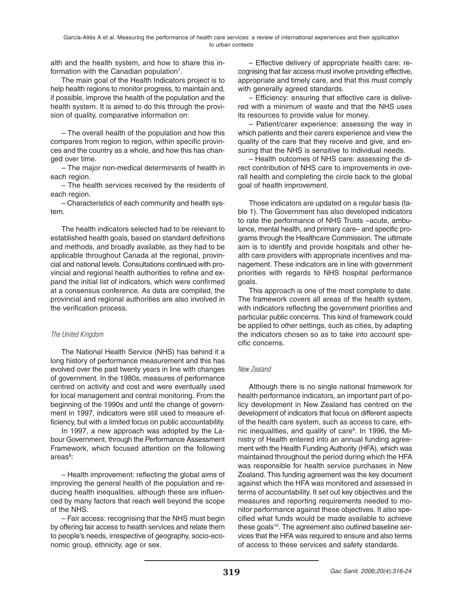alth and the health system, and how to share this information with the Canadian population<sup>7</sup>.

The main goal of the Health Indicators project is to help health regions to monitor progress, to maintain and, if possible, improve the health of the population and the health system. It is aimed to do this through the provision of quality, comparative information on:

– The overall health of the population and how this compares from region to region, within specific provinces and the country as a whole, and how this has changed over time.

– The major non-medical determinants of health in each region.

– The health services received by the residents of each region.

– Characteristics of each community and health system.

The health indicators selected had to be relevant to established health goals, based on standard definitions and methods, and broadly available, as they had to be applicable throughout Canada at the regional, provincial and national levels. Consultations continued with provincial and regional health authorities to refine and expand the initial list of indicators, which were confirmed at a consensus conference. As data are compiled, the provincial and regional authorities are also involved in the verification process.

## The United Kingdom

The National Health Service (NHS) has behind it a long history of performance measurement and this has evolved over the past twenty years in line with changes of government. In the 1980s, measures of performance centred on activity and cost and were eventually used for local management and central monitoring. From the beginning of the 1990s and until the change of government in 1997, indicators were still used to measure efficiency, but with a limited focus on public accountability.

In 1997, a new approach was adopted by the Labour Government, through the Performance Assessment Framework, which focused attention on the following areas<sup>8</sup>:

– Health improvement: reflecting the global aims of improving the general health of the population and reducing health inequalities, although these are influenced by many factors that reach well beyond the scope of the NHS.

– Fair access: recognising that the NHS must begin by offering fair access to health services and relate them to people's needs, irrespective of geography, socio-economic group, ethnicity, age or sex.

– Effective delivery of appropriate health care: recognising that fair access must involve providing effective, appropriate and timely care, and that this must comply with generally agreed standards.

– Efficiency: ensuring that effective care is delivered with a minimum of waste and that the NHS uses its resources to provide value for money.

– Patient/carer experience: assessing the way in which patients and their carers experience and view the quality of the care that they receive and give, and ensuring that the NHS is sensitive to individual needs.

– Health outcomes of NHS care: assessing the direct contribution of NHS care to improvements in overall health and completing the circle back to the global goal of health improvement.

Those indicators are updated on a regular basis (table 1). The Government has also developed indicators to rate the performance of NHS Trusts –acute, ambulance, mental health, and primary care– and specific programs through the Healthcare Commission. The ultimate aim is to identify and provide hospitals and other health care providers with appropriate incentives and management. These indicators are in line with government priorities with regards to NHS hospital performance goals.

This approach is one of the most complete to date. The framework covers all areas of the health system, with indicators reflecting the government priorities and particular public concerns. This kind of framework could be applied to other settings, such as cities, by adapting the indicators chosen so as to take into account specific concerns.

## New Zealand

Although there is no single national framework for health performance indicators, an important part of policy development in New Zealand has centred on the development of indicators that focus on different aspects of the health care system, such as access to care, ethnic inequalities, and quality of care<sup>9</sup>. In 1996, the Ministry of Health entered into an annual funding agreement with the Health Funding Authority (HFA), which was maintained throughout the period during which the HFA was responsible for health service purchases in New Zealand. This funding agreement was the key document against which the HFA was monitored and assessed in terms of accountability. It set out key objectives and the measures and reporting requirements needed to monitor performance against these objectives. It also specified what funds would be made available to achieve these goals<sup>10</sup>. The agreement also outlined baseline services that the HFA was required to ensure and also terms of access to these services and safety standards.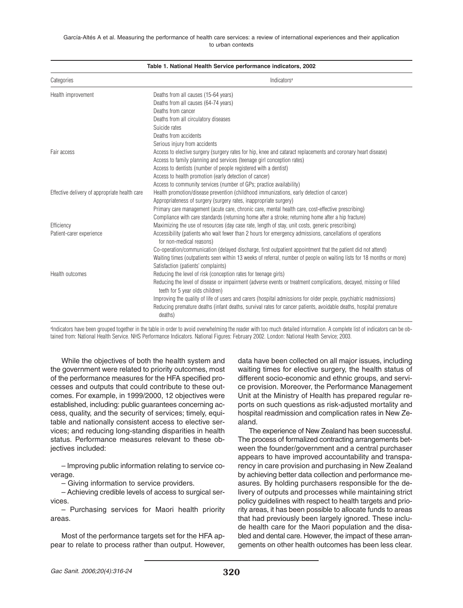| Table 1. National Health Service performance indicators, 2002 |                                                                                                                                                       |  |  |  |
|---------------------------------------------------------------|-------------------------------------------------------------------------------------------------------------------------------------------------------|--|--|--|
| Categories                                                    | Indicators <sup>a</sup>                                                                                                                               |  |  |  |
| Health improvement                                            | Deaths from all causes (15-64 years)                                                                                                                  |  |  |  |
|                                                               | Deaths from all causes (64-74 years)                                                                                                                  |  |  |  |
|                                                               | Deaths from cancer                                                                                                                                    |  |  |  |
|                                                               | Deaths from all circulatory diseases                                                                                                                  |  |  |  |
|                                                               | Suicide rates                                                                                                                                         |  |  |  |
|                                                               | Deaths from accidents                                                                                                                                 |  |  |  |
|                                                               | Serious injury from accidents                                                                                                                         |  |  |  |
| Fair access                                                   | Access to elective surgery (surgery rates for hip, knee and cataract replacements and coronary heart disease)                                         |  |  |  |
|                                                               | Access to family planning and services (teenage girl conception rates)                                                                                |  |  |  |
|                                                               | Access to dentists (number of people registered with a dentist)                                                                                       |  |  |  |
|                                                               | Access to health promotion (early detection of cancer)                                                                                                |  |  |  |
|                                                               | Access to community services (number of GPs; practice availability)                                                                                   |  |  |  |
| Effective delivery of appropriate health care                 | Health promotion/disease prevention (childhood immunizations, early detection of cancer)                                                              |  |  |  |
|                                                               | Appropriateness of surgery (surgery rates, inappropriate surgery)                                                                                     |  |  |  |
|                                                               | Primary care management (acute care, chronic care, mental health care, cost-effective prescribing)                                                    |  |  |  |
|                                                               | Compliance with care standards (returning home after a stroke; returning home after a hip fracture)                                                   |  |  |  |
| Efficiency                                                    | Maximizing the use of resources (day case rate, length of stay, unit costs, generic prescribing)                                                      |  |  |  |
| Patient-carer experience                                      | Accessibility (patients who wait fewer than 2 hours for emergency admissions, cancellations of operations<br>for non-medical reasons)                 |  |  |  |
|                                                               | Co-operation/communication (delayed discharge, first outpatient appointment that the patient did not attend)                                          |  |  |  |
|                                                               | Waiting times (outpatients seen within 13 weeks of referral, number of people on waiting lists for 18 months or more)                                 |  |  |  |
|                                                               | Satisfaction (patients' complaints)                                                                                                                   |  |  |  |
| Health outcomes                                               | Reducing the level of risk (conception rates for teenage girls)                                                                                       |  |  |  |
|                                                               | Reducing the level of disease or impairment (adverse events or treatment complications, decayed, missing or filled<br>teeth for 5 year olds children) |  |  |  |
|                                                               | Improving the quality of life of users and carers (hospital admissions for older people, psychiatric readmissions)                                    |  |  |  |
|                                                               | Reducing premature deaths (infant deaths, survival rates for cancer patients, avoidable deaths, hospital premature<br>deaths)                         |  |  |  |

a Indicators have been grouped together in the table in order to avoid overwhelming the reader with too much detailed information. A complete list of indicators can be obtained from: National Health Service. NHS Performance Indicators. National Figures: February 2002. London: National Health Service; 2003.

While the objectives of both the health system and the government were related to priority outcomes, most of the performance measures for the HFA specified processes and outputs that could contribute to these outcomes. For example, in 1999/2000, 12 objectives were established, including: public guarantees concerning access, quality, and the security of services; timely, equitable and nationally consistent access to elective services; and reducing long-standing disparities in health status. Performance measures relevant to these objectives included:

– Improving public information relating to service coverage.

– Giving information to service providers.

– Achieving credible levels of access to surgical services.

– Purchasing services for Maori health priority areas.

Most of the performance targets set for the HFA appear to relate to process rather than output. However, data have been collected on all major issues, including waiting times for elective surgery, the health status of different socio-economic and ethnic groups, and service provision. Moreover, the Performance Management Unit at the Ministry of Health has prepared regular reports on such questions as risk-adjusted mortality and hospital readmission and complication rates in New Zealand.

The experience of New Zealand has been successful. The process of formalized contracting arrangements between the founder/government and a central purchaser appears to have improved accountability and transparency in care provision and purchasing in New Zealand by achieving better data collection and performance measures. By holding purchasers responsible for the delivery of outputs and processes while maintaining strict policy guidelines with respect to health targets and priority areas, it has been possible to allocate funds to areas that had previously been largely ignored. These include health care for the Maori population and the disabled and dental care. However, the impact of these arrangements on other health outcomes has been less clear.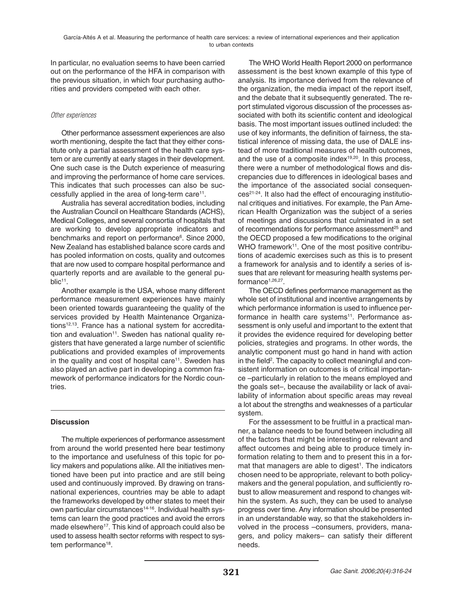In particular, no evaluation seems to have been carried out on the performance of the HFA in comparison with the previous situation, in which four purchasing authorities and providers competed with each other.

## Other experiences

Other performance assessment experiences are also worth mentioning, despite the fact that they either constitute only a partial assessment of the health care system or are currently at early stages in their development. One such case is the Dutch experience of measuring and improving the performance of home care services. This indicates that such processes can also be successfully applied in the area of long-term care<sup>11</sup>.

Australia has several accreditation bodies, including the Australian Council on Healthcare Standards (ACHS), Medical Colleges, and several consortia of hospitals that are working to develop appropriate indicators and benchmarks and report on performance<sup>6</sup>. Since 2000, New Zealand has established balance score cards and has pooled information on costs, quality and outcomes that are now used to compare hospital performance and quarterly reports and are available to the general pu $b$ lic<sup>11</sup>.

Another example is the USA, whose many different performance measurement experiences have mainly been oriented towards guaranteeing the quality of the services provided by Health Maintenance Organizations<sup>12,13</sup>. France has a national system for accreditation and evaluation<sup>11</sup>. Sweden has national quality registers that have generated a large number of scientific publications and provided examples of improvements in the quality and cost of hospital care $11$ . Sweden has also played an active part in developing a common framework of performance indicators for the Nordic countries.

# **Discussion**

The multiple experiences of performance assessment from around the world presented here bear testimony to the importance and usefulness of this topic for policy makers and populations alike. All the initiatives mentioned have been put into practice and are still being used and continuously improved. By drawing on transnational experiences, countries may be able to adapt the frameworks developed by other states to meet their own particular circumstances<sup>14-16</sup>. Individual health systems can learn the good practices and avoid the errors made elsewhere<sup>17</sup>. This kind of approach could also be used to assess health sector reforms with respect to system performance<sup>18</sup>.

The WHO World Health Report 2000 on performance assessment is the best known example of this type of analysis. Its importance derived from the relevance of the organization, the media impact of the report itself, and the debate that it subsequently generated. The report stimulated vigorous discussion of the processes associated with both its scientific content and ideological basis. The most important issues outlined included: the use of key informants, the definition of fairness, the statistical inference of missing data, the use of DALE instead of more traditional measures of health outcomes, and the use of a composite index<sup>19,20</sup>. In this process, there were a number of methodological flows and discrepancies due to differences in ideological bases and the importance of the associated social consequences21-24. It also had the effect of encouraging institutional critiques and initiatives. For example, the Pan American Health Organization was the subject of a series of meetings and discussions that culminated in a set of recommendations for performance assessment<sup>25</sup> and the OECD proposed a few modifications to the original WHO framework<sup>11</sup>. One of the most positive contributions of academic exercises such as this is to present a framework for analysis and to identify a series of issues that are relevant for measuring health systems performance<sup>1,26,27</sup>.

The OECD defines performance management as the whole set of institutional and incentive arrangements by which performance information is used to influence performance in health care systems<sup>11</sup>. Performance assessment is only useful and important to the extent that it provides the evidence required for developing better policies, strategies and programs. In other words, the analytic component must go hand in hand with action in the field<sup>2</sup>. The capacity to collect meaningful and consistent information on outcomes is of critical importance –particularly in relation to the means employed and the goals set–, because the availability or lack of availability of information about specific areas may reveal a lot about the strengths and weaknesses of a particular system.

For the assessment to be fruitful in a practical manner, a balance needs to be found between including all of the factors that might be interesting or relevant and affect outcomes and being able to produce timely information relating to them and to present this in a format that managers are able to digest<sup>1</sup>. The indicators chosen need to be appropriate, relevant to both policymakers and the general population, and sufficiently robust to allow measurement and respond to changes within the system. As such, they can be used to analyse progress over time. Any information should be presented in an understandable way, so that the stakeholders involved in the process –consumers, providers, managers, and policy makers– can satisfy their different needs.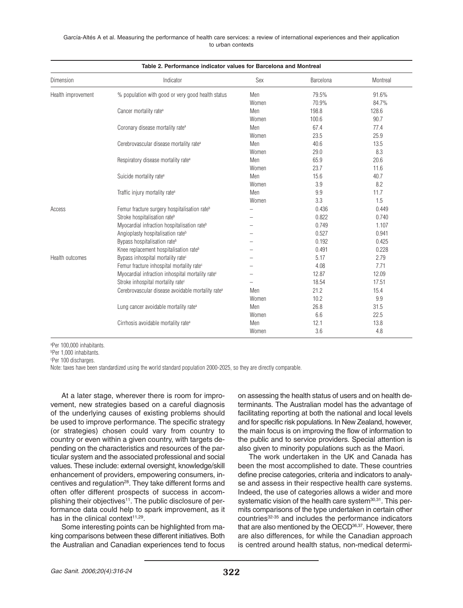| Table 2. Performance indicator values for Barcelona and Montreal |                                                          |       |           |          |  |
|------------------------------------------------------------------|----------------------------------------------------------|-------|-----------|----------|--|
| Dimension                                                        | Indicator                                                | Sex   | Barcelona | Montreal |  |
| Health improvement                                               | % population with good or very good health status        | Men   | 79.5%     | 91.6%    |  |
|                                                                  |                                                          | Women | 70.9%     | 84.7%    |  |
|                                                                  | Cancer mortality rate <sup>a</sup>                       | Men   | 198.8     | 128.6    |  |
|                                                                  |                                                          | Women | 100.6     | 90.7     |  |
|                                                                  | Coronary disease mortality rate <sup>a</sup>             | Men   | 67.4      | 77.4     |  |
|                                                                  |                                                          | Women | 23.5      | 25.9     |  |
|                                                                  | Cerebrovascular disease mortality rate <sup>a</sup>      | Men   | 40.6      | 13.5     |  |
|                                                                  |                                                          | Women | 29.0      | 8.3      |  |
|                                                                  | Respiratory disease mortality rate <sup>a</sup>          | Men   | 65.9      | 20.6     |  |
|                                                                  |                                                          | Women | 23.7      | 11.6     |  |
|                                                                  | Suicide mortality rate <sup>a</sup>                      | Men   | 15.6      | 40.7     |  |
|                                                                  |                                                          | Women | 3.9       | 8.2      |  |
|                                                                  | Traffic injury mortality rate <sup>a</sup>               | Men   | 9.9       | 11.7     |  |
|                                                                  |                                                          | Women | 3.3       | 1.5      |  |
| Access                                                           | Femur fracture surgery hospitalisation rate <sup>b</sup> |       | 0.436     | 0.449    |  |
|                                                                  | Stroke hospitalisation rate <sup>b</sup>                 |       | 0.822     | 0.740    |  |
|                                                                  | Myocardial infraction hospitalisation rate <sup>b</sup>  |       | 0.749     | 1.107    |  |
|                                                                  | Angioplasty hospitalisation rate <sup>b</sup>            |       | 0.527     | 0.941    |  |
|                                                                  | Bypass hospitalisation rate <sup>b</sup>                 |       | 0.192     | 0.425    |  |

Health outcomes Bypass inhospital mortality rate<sup>c</sup> and the second of the second of the second of the second of the second of the second of the second of the second of the second of the second of the second of the second o

Knee replacement hospitalisation rate<sup>b</sup>  $-$  0.491 0.228

Femur fracture inhospital mortality rate<sup>c</sup> – 4.08 7.71 Myocardial infraction inhospital mortality rate<sup>c</sup>  $-$  12.87 12.09 Stroke inhospital mortality rate<sup>c</sup> and the stroke inhospital mortality rate<sup>c</sup> and the stroke in the stroke in the stroke in the stroke in the stroke in the stroke in the stroke in the stroke in the stroke in the stroke i Cerebrovascular disease avoidable mortality rate<sup>a</sup> Men 21.2 21.2 15.4

Lung cancer avoidable mortality rate<sup>a</sup> exercise Men Men 26.8 26.8 31.5

 $C$ irrhosis avoidable mortality rate<sup>a</sup> and  $M$ en 12.1 12.1 13.8

<sup>a</sup>Per 100,000 inhabitants.

**bPer 1,000 inhabitants.** 

<sup>c</sup>Per 100 discharges.

Note: taxes have been standardized using the world standard population 2000-2025, so they are directly comparable.

At a later stage, wherever there is room for improvement, new strategies based on a careful diagnosis of the underlying causes of existing problems should be used to improve performance. The specific strategy (or strategies) chosen could vary from country to country or even within a given country, with targets depending on the characteristics and resources of the particular system and the associated professional and social values. These include: external oversight, knowledge/skill enhancement of providers, empowering consumers, incentives and regulation<sup>28</sup>. They take different forms and often offer different prospects of success in accomplishing their objectives<sup>11</sup>. The public disclosure of performance data could help to spark improvement, as it has in the clinical context<sup>11,29</sup>.

Some interesting points can be highlighted from making comparisons between these different initiatives. Both the Australian and Canadian experiences tend to focus on assessing the health status of users and on health determinants. The Australian model has the advantage of facilitating reporting at both the national and local levels and for specific risk populations. In New Zealand, however, the main focus is on improving the flow of information to the public and to service providers. Special attention is also given to minority populations such as the Maori.

Women 10.2 9.9

Women 6.6 22.5

Women 3.6 4.8

The work undertaken in the UK and Canada has been the most accomplished to date. These countries define precise categories, criteria and indicators to analyse and assess in their respective health care systems. Indeed, the use of categories allows a wider and more systematic vision of the health care system<sup>30,31</sup>. This permits comparisons of the type undertaken in certain other countries32-35 and includes the performance indicators that are also mentioned by the OECD<sup>36,37</sup>. However, there are also differences, for while the Canadian approach is centred around health status, non-medical determi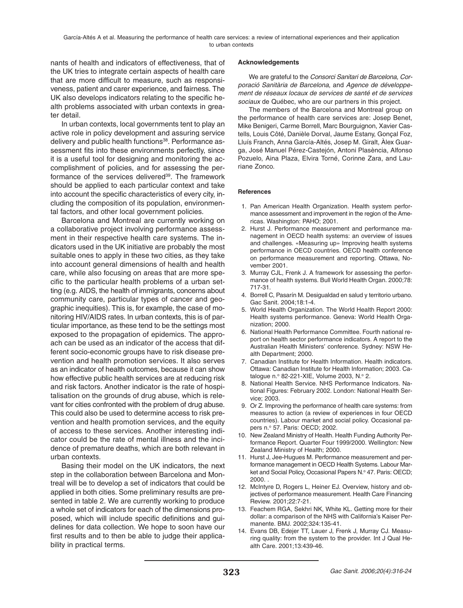nants of health and indicators of effectiveness, that of the UK tries to integrate certain aspects of health care that are more difficult to measure, such as responsiveness, patient and carer experience, and fairness. The UK also develops indicators relating to the specific health problems associated with urban contexts in greater detail.

In urban contexts, local governments tent to play an active role in policy development and assuring service delivery and public health functions<sup>38</sup>. Performance assessment fits into these environments perfectly, since it is a useful tool for designing and monitoring the accomplishment of policies, and for assessing the performance of the services delivered<sup>39</sup>. The framework should be applied to each particular context and take into account the specific characteristics of every city, including the composition of its population, environmental factors, and other local government policies.

Barcelona and Montreal are currently working on a collaborative project involving performance assessment in their respective health care systems. The indicators used in the UK initiative are probably the most suitable ones to apply in these two cities, as they take into account general dimensions of health and health care, while also focusing on areas that are more specific to the particular health problems of a urban setting (e.g. AIDS, the health of immigrants, concerns about community care, particular types of cancer and geographic inequities). This is, for example, the case of monitoring HIV/AIDS rates. In urban contexts, this is of particular importance, as these tend to be the settings most exposed to the propagation of epidemics. The approach can be used as an indicator of the access that different socio-economic groups have to risk disease prevention and health promotion services. It also serves as an indicator of health outcomes, because it can show how effective public health services are at reducing risk and risk factors. Another indicator is the rate of hospitalisation on the grounds of drug abuse, which is relevant for cities confronted with the problem of drug abuse. This could also be used to determine access to risk prevention and health promotion services, and the equity of access to these services. Another interesting indicator could be the rate of mental illness and the incidence of premature deaths, which are both relevant in urban contexts.

Basing their model on the UK indicators, the next step in the collaboration between Barcelona and Montreal will be to develop a set of indicators that could be applied in both cities. Some preliminary results are presented in table 2. We are currently working to produce a whole set of indicators for each of the dimensions proposed, which will include specific definitions and guidelines for data collection. We hope to soon have our first results and to then be able to judge their applicability in practical terms.

#### **Acknowledgements**

We are grateful to the Consorci Sanitari de Barcelona, Corporació Sanitària de Barcelona, and Agence de développement de réseaux locaux de services de santé et de services sociaux de Québec, who are our partners in this project.

The members of the Barcelona and Montreal group on the performance of health care services are: Josep Benet, Mike Benigeri, Carme Borrell, Marc Bourguignon, Xavier Castells, Louis Côté, Danièle Dorval, Jaume Estany, Gonçal Foz, Lluís Franch, Anna García-Altés, Josep M. Giralt, Àlex Guarga, José Manuel Pérez-Castejón, Antoni Plasència, Alfonso Pozuelo, Aina Plaza, Elvira Torné, Corinne Zara, and Lauriane Zonco.

#### **References**

- 1. Pan American Health Organization. Health system performance assessment and improvement in the region of the Americas. Washington: PAHO; 2001.
- 2. Hurst J. Performance measurement and performance management in OECD health systems: an overview of issues and challenges. «Measuring up» Improving health systems performance in OECD countries. OECD health conference on performance measurement and reporting. Ottawa, November 2001.
- 3. Murray CJL, Frenk J. A framework for assessing the performance of health systems. Bull World Health Organ. 2000;78: 717-31.
- 4. Borrell C, Pasarín M. Desigualdad en salud y territorio urbano. Gac Sanit. 2004;18:1-4.
- 5. World Health Organization. The World Health Report 2000: Health systems performance. Geneva: World Health Organization; 2000.
- 6. National Health Performance Committee. Fourth national report on health sector performance indicators. A report to the Australian Health Ministers' conference. Sydney: NSW Health Department; 2000.
- 7. Canadian Institute for Health Information. Health indicators. Ottawa: Canadian Institute for Health Information; 2003. Catalogue n.º 82-221-XIE, Volume 2003, N.º 2.
- 8. National Health Service. NHS Performance Indicators. National Figures: February 2002. London: National Health Service; 2003.
- 9. Or Z. Improving the performance of health care systems: from measures to action (a review of experiences in four OECD countries). Labour market and social policy. Occasional papers n.º 57. Paris: OECD; 2002.
- 10. New Zealand Ministry of Health. Health Funding Authority Performance Report. Quarter Four 1999/2000. Wellington: New Zealand Ministry of Health; 2000.
- 11. Hurst J, Jee-Hugues M. Performance measurement and performance management in OECD Health Systems. Labour Market and Social Policy, Occasional Papers N.º 47. Paris: OECD; 2000. .
- 12. McIntyre D, Rogers L, Heiner EJ. Overview, history and objectives of performance measurement. Health Care Financing Review. 2001;22:7-21.
- 13. Feachem RGA, Sekhri NK, White KL. Getting more for their dollar: a comparison of the NHS with California's Kaiser Permanente. BMJ. 2002;324:135-41.
- 14. Evans DB, Edejer TT, Lauer J, Frenk J, Murray CJ. Measuring quality: from the system to the provider. Int J Qual Health Care. 2001;13:439-46.